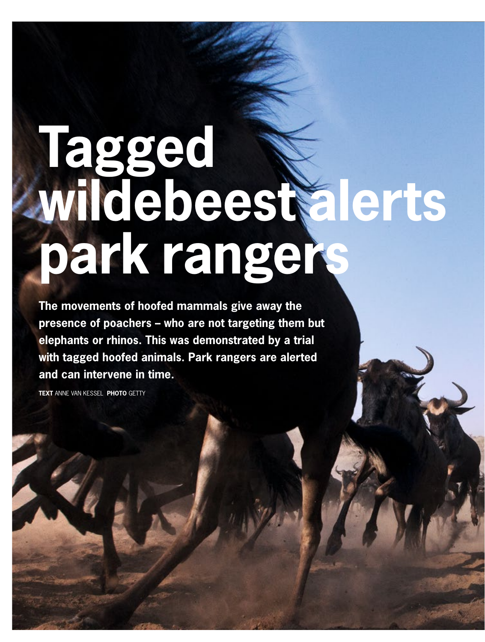# **Tagged wildebeest alerts park rangers**

**The movements of hoofed mammals give away the presence of poachers – who are not targeting them but elephants or rhinos. This was demonstrated by a trial with tagged hoofed animals. Park rangers are alerted and can intervene in time.** 

**TEXT** ANNE VAN KESSEL **PHOTO** GETTY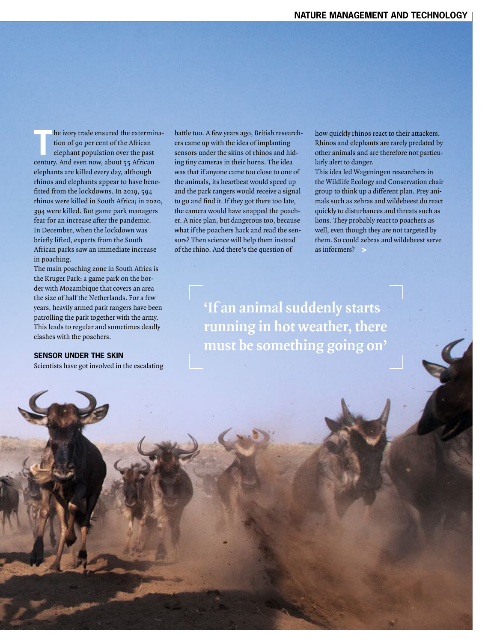**The ivory trade ensured the extermina-**<br>tion of 90 per cent of the African<br>elephant population over the past tion of 90 per cent of the African century. And even now, about 55 African elephants are killed every day, although rhinos and elephants appear to have benefitted from the lockdowns. In 2019, 594 rhinos were killed in South Africa; in 2020, 394 were killed. But game park managers fear for an increase after the pandemic. In December, when the lockdown was briefly lifted, experts from the South African parks saw an immediate increase in poaching.

The main poaching zone in South Africa is the Kruger Park: a game park on the border with Mozambique that covers an area the size of half the Netherlands. For a few years, heavily armed park rangers have been patrolling the park together with the army. This leads to regular and sometimes deadly clashes with the poachers.

## **SENSOR UNDER THE SKIN**

Scientists have got involved in the escalating

battle too. A few years ago, British researchers came up with the idea of implanting sensors under the skins of rhinos and hiding tiny cameras in their horns. The idea was that if anyone came too close to one of the animals, its heartbeat would speed up and the park rangers would receive a signal to go and find it. If they got there too late, the camera would have snapped the poacher. A nice plan, but dangerous too, because what if the poachers hack and read the sensors? Then science will help them instead of the rhino. And there's the question of

how quickly rhinos react to their attackers. Rhinos and elephants are rarely predated by other animals and are therefore not particularly alert to danger.

This idea led Wageningen researchers in the Wildlife Ecology and Conservation chair group to think up a different plan. Prey animals such as zebras and wildebeest do react quickly to disturbances and threats such as lions. They probably react to poachers as well, even though they are not targeted by them. So could zebras and wildebeest serve as informers? **>**

**'If an animal suddenly starts running in hot weather, there must be something going on'**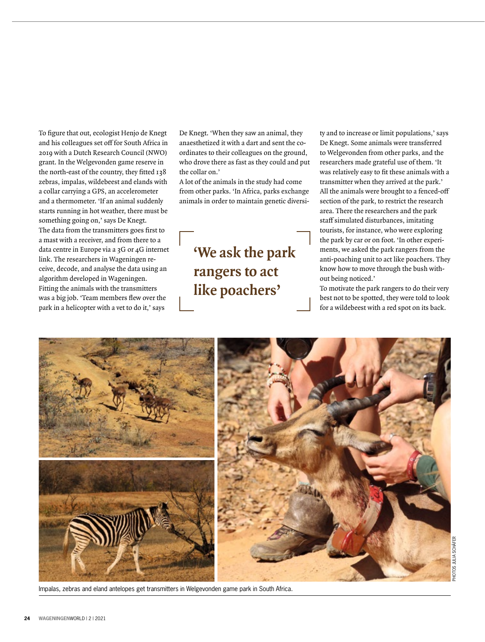To figure that out, ecologist Henjo de Knegt and his colleagues set off for South Africa in 2019 with a Dutch Research Council (NWO) grant. In the Welgevonden game reserve in the north-east of the country, they fitted 138 zebras, impalas, wildebeest and elands with a collar carrying a GPS, an accelerometer and a thermometer. 'If an animal suddenly starts running in hot weather, there must be something going on,' says De Knegt. The data from the transmitters goes first to a mast with a receiver, and from there to a data centre in Europe via a 3G or 4G internet link. The researchers in Wageningen receive, decode, and analyse the data using an algorithm developed in Wageningen. Fitting the animals with the transmitters was a big job. 'Team members flew over the park in a helicopter with a vet to do it,' says

De Knegt. 'When they saw an animal, they anaesthetized it with a dart and sent the coordinates to their colleagues on the ground, who drove there as fast as they could and put the collar on.'

A lot of the animals in the study had come from other parks. 'In Africa, parks exchange animals in order to maintain genetic diversi-

# **'We ask the park rangers to act like poachers'**

ty and to increase or limit populations,' says De Knegt. Some animals were transferred to Welgevonden from other parks, and the researchers made grateful use of them. 'It was relatively easy to fit these animals with a transmitter when they arrived at the park.' All the animals were brought to a fenced-off section of the park, to restrict the research area. There the researchers and the park staff simulated disturbances, imitating tourists, for instance, who were exploring the park by car or on foot. 'In other experiments, we asked the park rangers from the anti-poaching unit to act like poachers. They know how to move through the bush without being noticed.'

To motivate the park rangers to do their very best not to be spotted, they were told to look for a wildebeest with a red spot on its back.



Impalas, zebras and eland antelopes get transmitters in Welgevonden game park in South Africa.